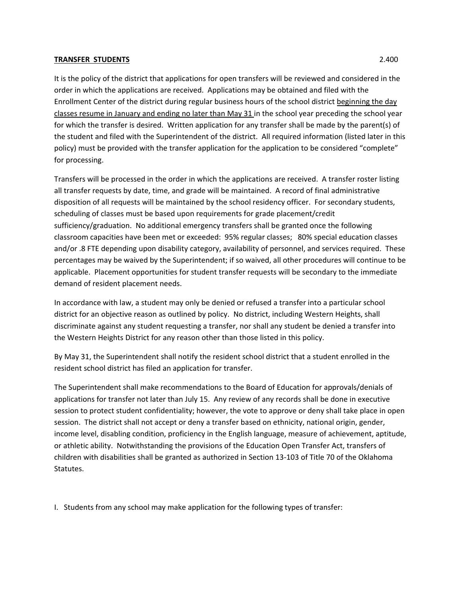## **TRANSFER STUDENTS** 2.400

It is the policy of the district that applications for open transfers will be reviewed and considered in the order in which the applications are received. Applications may be obtained and filed with the Enrollment Center of the district during regular business hours of the school district beginning the day classes resume in January and ending no later than May 31 in the school year preceding the school year for which the transfer is desired. Written application for any transfer shall be made by the parent(s) of the student and filed with the Superintendent of the district. All required information (listed later in this policy) must be provided with the transfer application for the application to be considered "complete" for processing.

Transfers will be processed in the order in which the applications are received. A transfer roster listing all transfer requests by date, time, and grade will be maintained. A record of final administrative disposition of all requests will be maintained by the school residency officer. For secondary students, scheduling of classes must be based upon requirements for grade placement/credit sufficiency/graduation. No additional emergency transfers shall be granted once the following classroom capacities have been met or exceeded: 95% regular classes; 80% special education classes and/or .8 FTE depending upon disability category, availability of personnel, and services required. These percentages may be waived by the Superintendent; if so waived, all other procedures will continue to be applicable. Placement opportunities for student transfer requests will be secondary to the immediate demand of resident placement needs.

In accordance with law, a student may only be denied or refused a transfer into a particular school district for an objective reason as outlined by policy. No district, including Western Heights, shall discriminate against any student requesting a transfer, nor shall any student be denied a transfer into the Western Heights District for any reason other than those listed in this policy.

By May 31, the Superintendent shall notify the resident school district that a student enrolled in the resident school district has filed an application for transfer.

The Superintendent shall make recommendations to the Board of Education for approvals/denials of applications for transfer not later than July 15. Any review of any records shall be done in executive session to protect student confidentiality; however, the vote to approve or deny shall take place in open session. The district shall not accept or deny a transfer based on ethnicity, national origin, gender, income level, disabling condition, proficiency in the English language, measure of achievement, aptitude, or athletic ability. Notwithstanding the provisions of the Education Open Transfer Act, transfers of children with disabilities shall be granted as authorized in Section 13‐103 of Title 70 of the Oklahoma Statutes.

I. Students from any school may make application for the following types of transfer: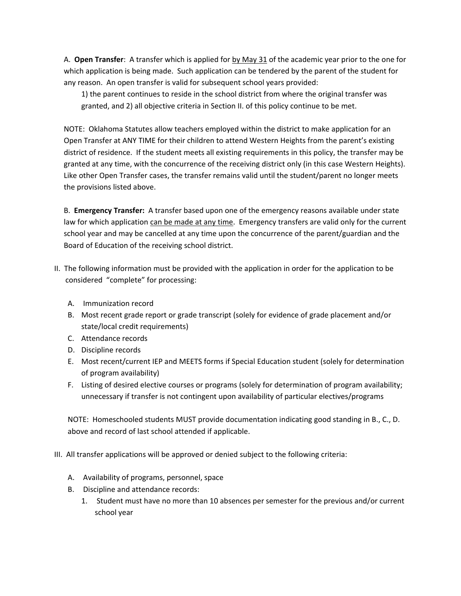A. **Open Transfer**: A transfer which is applied for by May 31 of the academic year prior to the one for which application is being made. Such application can be tendered by the parent of the student for any reason. An open transfer is valid for subsequent school years provided:

1) the parent continues to reside in the school district from where the original transfer was granted, and 2) all objective criteria in Section II. of this policy continue to be met.

NOTE: Oklahoma Statutes allow teachers employed within the district to make application for an Open Transfer at ANY TIME for their children to attend Western Heights from the parent's existing district of residence. If the student meets all existing requirements in this policy, the transfer may be granted at any time, with the concurrence of the receiving district only (in this case Western Heights). Like other Open Transfer cases, the transfer remains valid until the student/parent no longer meets the provisions listed above.

B. **Emergency Transfer:** A transfer based upon one of the emergency reasons available under state law for which application can be made at any time. Emergency transfers are valid only for the current school year and may be cancelled at any time upon the concurrence of the parent/guardian and the Board of Education of the receiving school district.

- II. The following information must be provided with the application in order for the application to be considered "complete" for processing:
	- A. Immunization record
	- B. Most recent grade report or grade transcript (solely for evidence of grade placement and/or state/local credit requirements)
	- C. Attendance records
	- D. Discipline records
	- E. Most recent/current IEP and MEETS forms if Special Education student (solely for determination of program availability)
	- F. Listing of desired elective courses or programs (solely for determination of program availability; unnecessary if transfer is not contingent upon availability of particular electives/programs

NOTE: Homeschooled students MUST provide documentation indicating good standing in B., C., D. above and record of last school attended if applicable.

- III. All transfer applications will be approved or denied subject to the following criteria:
	- A. Availability of programs, personnel, space
	- B. Discipline and attendance records:
		- 1. Student must have no more than 10 absences per semester for the previous and/or current school year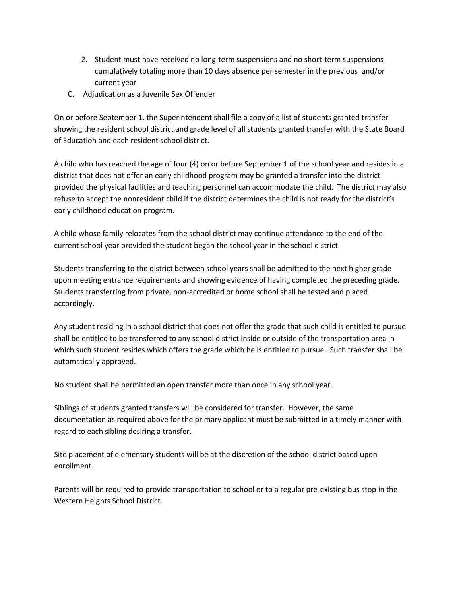- 2. Student must have received no long‐term suspensions and no short‐term suspensions cumulatively totaling more than 10 days absence per semester in the previous and/or current year
- C. Adjudication as a Juvenile Sex Offender

On or before September 1, the Superintendent shall file a copy of a list of students granted transfer showing the resident school district and grade level of all students granted transfer with the State Board of Education and each resident school district.

A child who has reached the age of four (4) on or before September 1 of the school year and resides in a district that does not offer an early childhood program may be granted a transfer into the district provided the physical facilities and teaching personnel can accommodate the child. The district may also refuse to accept the nonresident child if the district determines the child is not ready for the district's early childhood education program.

A child whose family relocates from the school district may continue attendance to the end of the current school year provided the student began the school year in the school district.

Students transferring to the district between school years shall be admitted to the next higher grade upon meeting entrance requirements and showing evidence of having completed the preceding grade. Students transferring from private, non‐accredited or home school shall be tested and placed accordingly.

Any student residing in a school district that does not offer the grade that such child is entitled to pursue shall be entitled to be transferred to any school district inside or outside of the transportation area in which such student resides which offers the grade which he is entitled to pursue. Such transfer shall be automatically approved.

No student shall be permitted an open transfer more than once in any school year.

Siblings of students granted transfers will be considered for transfer. However, the same documentation as required above for the primary applicant must be submitted in a timely manner with regard to each sibling desiring a transfer.

Site placement of elementary students will be at the discretion of the school district based upon enrollment.

Parents will be required to provide transportation to school or to a regular pre‐existing bus stop in the Western Heights School District.